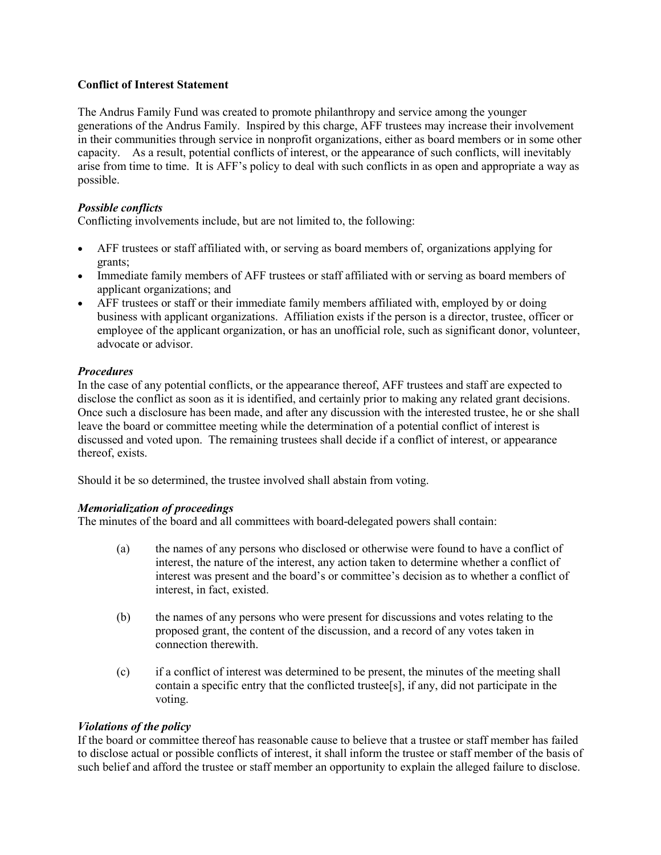#### **Conflict of Interest Statement**

The Andrus Family Fund was created to promote philanthropy and service among the younger generations of the Andrus Family. Inspired by this charge, AFF trustees may increase their involvement in their communities through service in nonprofit organizations, either as board members or in some other capacity. As a result, potential conflicts of interest, or the appearance of such conflicts, will inevitably arise from time to time. It is AFF's policy to deal with such conflicts in as open and appropriate a way as possible.

#### *Possible conflicts*

Conflicting involvements include, but are not limited to, the following:

- AFF trustees or staff affiliated with, or serving as board members of, organizations applying for grants;
- Immediate family members of AFF trustees or staff affiliated with or serving as board members of applicant organizations; and
- AFF trustees or staff or their immediate family members affiliated with, employed by or doing business with applicant organizations. Affiliation exists if the person is a director, trustee, officer or employee of the applicant organization, or has an unofficial role, such as significant donor, volunteer, advocate or advisor.

#### *Procedures*

In the case of any potential conflicts, or the appearance thereof, AFF trustees and staff are expected to disclose the conflict as soon as it is identified, and certainly prior to making any related grant decisions. Once such a disclosure has been made, and after any discussion with the interested trustee, he or she shall leave the board or committee meeting while the determination of a potential conflict of interest is discussed and voted upon. The remaining trustees shall decide if a conflict of interest, or appearance thereof, exists.

Should it be so determined, the trustee involved shall abstain from voting.

## *Memorialization of proceedings*

The minutes of the board and all committees with board-delegated powers shall contain:

- (a) the names of any persons who disclosed or otherwise were found to have a conflict of interest, the nature of the interest, any action taken to determine whether a conflict of interest was present and the board's or committee's decision as to whether a conflict of interest, in fact, existed.
- (b) the names of any persons who were present for discussions and votes relating to the proposed grant, the content of the discussion, and a record of any votes taken in connection therewith.
- (c) if a conflict of interest was determined to be present, the minutes of the meeting shall contain a specific entry that the conflicted trustee[s], if any, did not participate in the voting.

## *Violations of the policy*

If the board or committee thereof has reasonable cause to believe that a trustee or staff member has failed to disclose actual or possible conflicts of interest, it shall inform the trustee or staff member of the basis of such belief and afford the trustee or staff member an opportunity to explain the alleged failure to disclose.